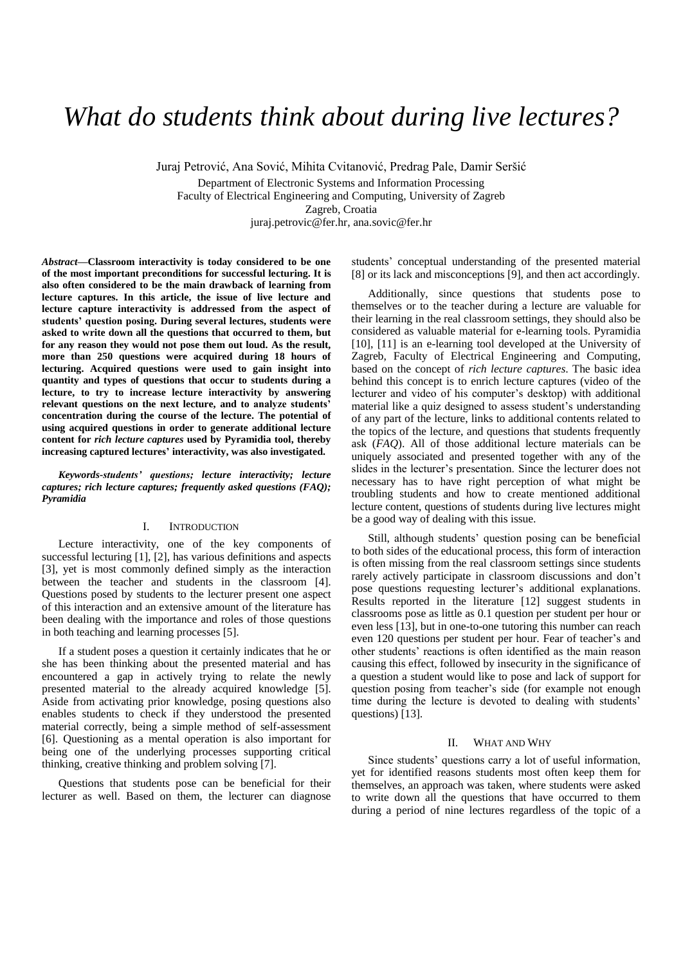# *What do students think about during live lectures?*

Juraj Petrović, Ana Sović, Mihita Cvitanović, Predrag Pale, Damir Seršić Department of Electronic Systems and Information Processing Faculty of Electrical Engineering and Computing, University of Zagreb Zagreb, Croatia juraj.petrovic@fer.hr, ana.sovic@fer.hr

*Abstract***—Classroom interactivity is today considered to be one of the most important preconditions for successful lecturing. It is also often considered to be the main drawback of learning from lecture captures. In this article, the issue of live lecture and lecture capture interactivity is addressed from the aspect of students' question posing. During several lectures, students were asked to write down all the questions that occurred to them, but for any reason they would not pose them out loud. As the result, more than 250 questions were acquired during 18 hours of lecturing. Acquired questions were used to gain insight into quantity and types of questions that occur to students during a lecture, to try to increase lecture interactivity by answering relevant questions on the next lecture, and to analyze students' concentration during the course of the lecture. The potential of using acquired questions in order to generate additional lecture content for** *rich lecture captures* **used by Pyramidia tool, thereby increasing captured lectures' interactivity, was also investigated.**

*Keywords-students' questions; lecture interactivity; lecture captures; rich lecture captures; frequently asked questions (FAQ); Pyramidia*

## I. INTRODUCTION

Lecture interactivity, one of the key components of successful lecturing [1], [2], has various definitions and aspects [3], yet is most commonly defined simply as the interaction between the teacher and students in the classroom [4]. Questions posed by students to the lecturer present one aspect of this interaction and an extensive amount of the literature has been dealing with the importance and roles of those questions in both teaching and learning processes [5].

If a student poses a question it certainly indicates that he or she has been thinking about the presented material and has encountered a gap in actively trying to relate the newly presented material to the already acquired knowledge [5]. Aside from activating prior knowledge, posing questions also enables students to check if they understood the presented material correctly, being a simple method of self-assessment [6]. Questioning as a mental operation is also important for being one of the underlying processes supporting critical thinking, creative thinking and problem solving [7].

Questions that students pose can be beneficial for their lecturer as well. Based on them, the lecturer can diagnose students' conceptual understanding of the presented material [8] or its lack and misconceptions [9], and then act accordingly.

Additionally, since questions that students pose to themselves or to the teacher during a lecture are valuable for their learning in the real classroom settings, they should also be considered as valuable material for e-learning tools. Pyramidia [10], [11] is an e-learning tool developed at the University of Zagreb, Faculty of Electrical Engineering and Computing, based on the concept of *rich lecture captures*. The basic idea behind this concept is to enrich lecture captures (video of the lecturer and video of his computer's desktop) with additional material like a quiz designed to assess student's understanding of any part of the lecture, links to additional contents related to the topics of the lecture, and questions that students frequently ask (*FAQ*). All of those additional lecture materials can be uniquely associated and presented together with any of the slides in the lecturer's presentation. Since the lecturer does not necessary has to have right perception of what might be troubling students and how to create mentioned additional lecture content, questions of students during live lectures might be a good way of dealing with this issue.

Still, although students' question posing can be beneficial to both sides of the educational process, this form of interaction is often missing from the real classroom settings since students rarely actively participate in classroom discussions and don't pose questions requesting lecturer's additional explanations. Results reported in the literature [12] suggest students in classrooms pose as little as 0.1 question per student per hour or even less [13], but in one-to-one tutoring this number can reach even 120 questions per student per hour. Fear of teacher's and other students' reactions is often identified as the main reason causing this effect, followed by insecurity in the significance of a question a student would like to pose and lack of support for question posing from teacher's side (for example not enough time during the lecture is devoted to dealing with students' questions) [13].

#### II. WHAT AND WHY

Since students' questions carry a lot of useful information, yet for identified reasons students most often keep them for themselves, an approach was taken, where students were asked to write down all the questions that have occurred to them during a period of nine lectures regardless of the topic of a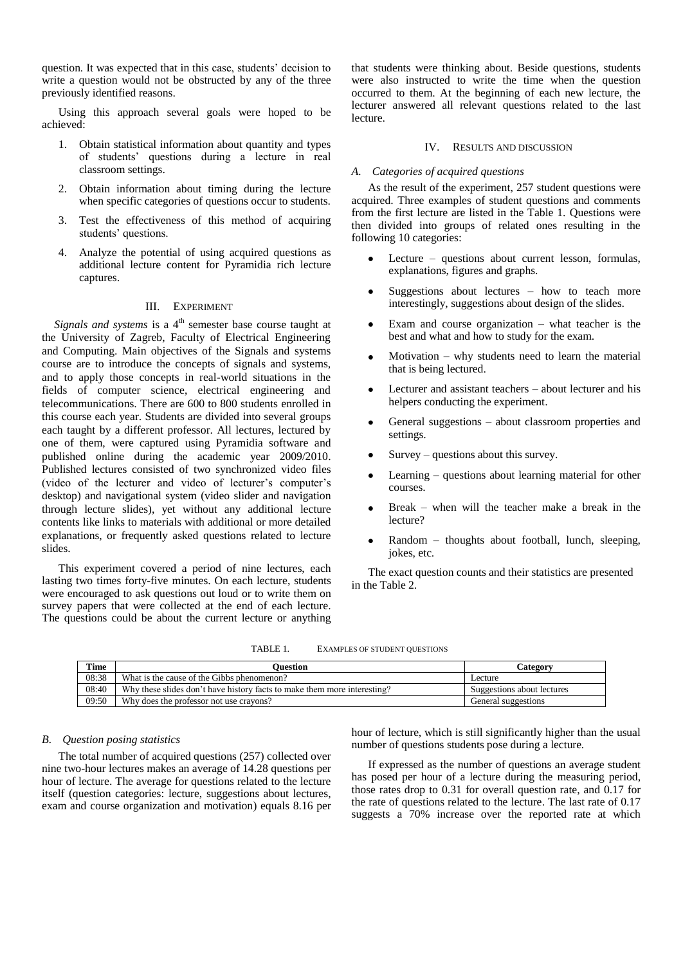question. It was expected that in this case, students' decision to write a question would not be obstructed by any of the three previously identified reasons.

Using this approach several goals were hoped to be achieved:

- 1. Obtain statistical information about quantity and types of students' questions during a lecture in real classroom settings.
- 2. Obtain information about timing during the lecture when specific categories of questions occur to students.
- 3. Test the effectiveness of this method of acquiring students' questions.
- 4. Analyze the potential of using acquired questions as additional lecture content for Pyramidia rich lecture captures.

## III. EXPERIMENT

*Signals and systems* is a 4<sup>th</sup> semester base course taught at the University of Zagreb, Faculty of Electrical Engineering and Computing. Main objectives of the Signals and systems course are to introduce the concepts of signals and systems, and to apply those concepts in real-world situations in the fields of computer science, electrical engineering and telecommunications. There are 600 to 800 students enrolled in this course each year. Students are divided into several groups each taught by a different professor. All lectures, lectured by one of them, were captured using Pyramidia software and published online during the academic year 2009/2010. Published lectures consisted of two synchronized video files (video of the lecturer and video of lecturer's computer's desktop) and navigational system (video slider and navigation through lecture slides), yet without any additional lecture contents like links to materials with additional or more detailed explanations, or frequently asked questions related to lecture slides.

This experiment covered a period of nine lectures, each lasting two times forty-five minutes. On each lecture, students were encouraged to ask questions out loud or to write them on survey papers that were collected at the end of each lecture. The questions could be about the current lecture or anything

that students were thinking about. Beside questions, students were also instructed to write the time when the question occurred to them. At the beginning of each new lecture, the lecturer answered all relevant questions related to the last lecture.

## IV. RESULTS AND DISCUSSION

#### *A. Categories of acquired questions*

As the result of the experiment, 257 student questions were acquired. Three examples of student questions and comments from the first lecture are listed in the Table 1. Questions were then divided into groups of related ones resulting in the following 10 categories:

- Lecture questions about current lesson, formulas,  $\bullet$ explanations, figures and graphs.
- Suggestions about lectures how to teach more  $\bullet$ interestingly, suggestions about design of the slides.
- Exam and course organization what teacher is the best and what and how to study for the exam.
- Motivation why students need to learn the material that is being lectured.
- Lecturer and assistant teachers about lecturer and his helpers conducting the experiment.
- General suggestions about classroom properties and settings.
- Survey questions about this survey.
- Learning questions about learning material for other courses.
- Break when will the teacher make a break in the lecture?
- Random thoughts about football, lunch, sleeping, jokes, etc.

The exact question counts and their statistics are presented in the Table 2.

TABLE 1. EXAMPLES OF STUDENT QUESTIONS

| <b>Time</b> | Ouestion                                                                 | <b>Category</b>            |  |  |  |
|-------------|--------------------------------------------------------------------------|----------------------------|--|--|--|
| 08:38       | What is the cause of the Gibbs phenomenon?                               | Lecture                    |  |  |  |
| 08:40       | Why these slides don't have history facts to make them more interesting? | Suggestions about lectures |  |  |  |
| 09:50       | Why does the professor not use crayons?                                  | General suggestions        |  |  |  |

## *B. Question posing statistics*

The total number of acquired questions (257) collected over nine two-hour lectures makes an average of 14.28 questions per hour of lecture. The average for questions related to the lecture itself (question categories: lecture, suggestions about lectures, exam and course organization and motivation) equals 8.16 per hour of lecture, which is still significantly higher than the usual number of questions students pose during a lecture.

If expressed as the number of questions an average student has posed per hour of a lecture during the measuring period, those rates drop to 0.31 for overall question rate, and 0.17 for the rate of questions related to the lecture. The last rate of 0.17 suggests a 70% increase over the reported rate at which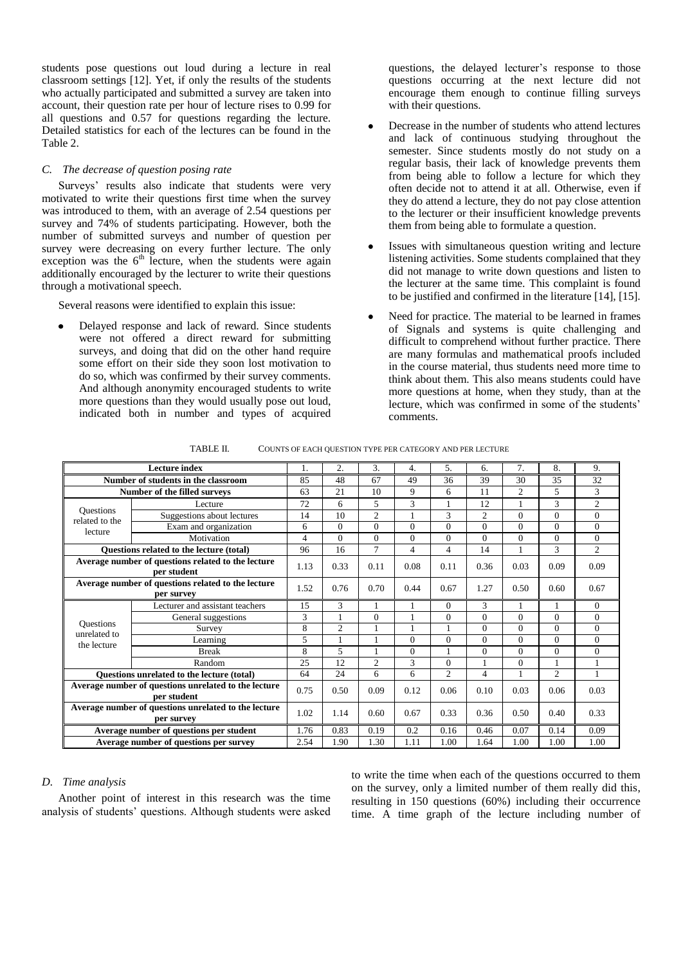students pose questions out loud during a lecture in real classroom settings [12]. Yet, if only the results of the students who actually participated and submitted a survey are taken into account, their question rate per hour of lecture rises to 0.99 for all questions and 0.57 for questions regarding the lecture. Detailed statistics for each of the lectures can be found in the Table 2.

## *C. The decrease of question posing rate*

Surveys' results also indicate that students were very motivated to write their questions first time when the survey was introduced to them, with an average of 2.54 questions per survey and 74% of students participating. However, both the number of submitted surveys and number of question per survey were decreasing on every further lecture. The only exception was the  $6<sup>th</sup>$  lecture, when the students were again additionally encouraged by the lecturer to write their questions through a motivational speech.

Several reasons were identified to explain this issue:

Delayed response and lack of reward. Since students were not offered a direct reward for submitting surveys, and doing that did on the other hand require some effort on their side they soon lost motivation to do so, which was confirmed by their survey comments. And although anonymity encouraged students to write more questions than they would usually pose out loud, indicated both in number and types of acquired

questions, the delayed lecturer's response to those questions occurring at the next lecture did not encourage them enough to continue filling surveys with their questions.

- Decrease in the number of students who attend lectures and lack of continuous studying throughout the semester. Since students mostly do not study on a regular basis, their lack of knowledge prevents them from being able to follow a lecture for which they often decide not to attend it at all. Otherwise, even if they do attend a lecture, they do not pay close attention to the lecturer or their insufficient knowledge prevents them from being able to formulate a question.
- Issues with simultaneous question writing and lecture listening activities. Some students complained that they did not manage to write down questions and listen to the lecturer at the same time. This complaint is found to be justified and confirmed in the literature [14], [15].
- Need for practice. The material to be learned in frames of Signals and systems is quite challenging and difficult to comprehend without further practice. There are many formulas and mathematical proofs included in the course material, thus students need more time to think about them. This also means students could have more questions at home, when they study, than at the lecture, which was confirmed in some of the students' comments.

TABLE II. COUNTS OF EACH QUESTION TYPE PER CATEGORY AND PER LECTURE

| Lecture index                                                       |                                 | 1.   | 2.             | 3.             | 4.       | 5.             | 6.             | 7.             | 8.             | 9.             |
|---------------------------------------------------------------------|---------------------------------|------|----------------|----------------|----------|----------------|----------------|----------------|----------------|----------------|
| Number of students in the classroom                                 |                                 |      | 48             | 67             | 49       | 36             | 39             | 30             | 35             | 32             |
| Number of the filled surveys                                        |                                 | 63   | 21             | 10             | 9        | 6              | 11             | $\overline{c}$ | 5              | 3              |
|                                                                     | Lecture                         | 72   | 6              | 5.             | 3        |                | 12             |                | 3              | $\overline{c}$ |
| <b>Ouestions</b><br>related to the<br>lecture                       | Suggestions about lectures      | 14   | 10             | $\overline{c}$ |          | 3              | $\overline{2}$ | $\Omega$       | $\Omega$       | $\Omega$       |
|                                                                     | Exam and organization           | 6    | $\Omega$       | $\Omega$       | $\theta$ | $\Omega$       | $\Omega$       | $\Omega$       | $\Omega$       | $\Omega$       |
|                                                                     | Motivation                      | 4    | $\Omega$       | $\Omega$       | $\theta$ | $\Omega$       | $\Omega$       | $\Omega$       | $\Omega$       | $\Omega$       |
| <b>Ouestions related to the lecture (total)</b>                     |                                 | 96   | 16             | $\tau$         | 4        | $\overline{4}$ | 14             | 1              | 3              | $\overline{2}$ |
| Average number of questions related to the lecture<br>per student   |                                 | 1.13 | 0.33           | 0.11           | 0.08     | 0.11           | 0.36           | 0.03           | 0.09           | 0.09           |
| Average number of questions related to the lecture<br>per survey    |                                 | 1.52 | 0.76           | 0.70           | 0.44     | 0.67           | 1.27           | 0.50           | 0.60           | 0.67           |
|                                                                     | Lecturer and assistant teachers | 15   | 3              |                |          | $\Omega$       | 3              | 1              | 1              | $\Omega$       |
|                                                                     | General suggestions             | 3    | 1              | $\Omega$       | -1       | $\Omega$       | $\Omega$       | $\Omega$       | $\Omega$       | $\Omega$       |
| <b>Ouestions</b><br>unrelated to                                    | Survey                          | 8    | $\overline{c}$ |                |          |                | $\Omega$       | $\Omega$       | $\Omega$       | $\Omega$       |
| the lecture                                                         | Learning                        | 5    |                |                | $\Omega$ | $\Omega$       | $\Omega$       | $\Omega$       | $\Omega$       | $\Omega$       |
|                                                                     | <b>Break</b>                    | 8    | 5              |                | $\Omega$ |                | $\Omega$       | $\Omega$       | $\Omega$       | $\theta$       |
|                                                                     | Random                          | 25   | 12             | $\mathfrak{2}$ | 3        | $\Omega$       | 1              | $\Omega$       |                |                |
| Questions unrelated to the lecture (total)                          |                                 | 64   | 24             | 6              | 6        | $\mathfrak{2}$ | $\overline{4}$ |                | $\mathfrak{2}$ |                |
| Average number of questions unrelated to the lecture<br>per student |                                 | 0.75 | 0.50           | 0.09           | 0.12     | 0.06           | 0.10           | 0.03           | 0.06           | 0.03           |
| Average number of questions unrelated to the lecture<br>per survey  |                                 | 1.02 | 1.14           | 0.60           | 0.67     | 0.33           | 0.36           | 0.50           | 0.40           | 0.33           |
| Average number of questions per student                             |                                 |      | 0.83           | 0.19           | 0.2      | 0.16           | 0.46           | 0.07           | 0.14           | 0.09           |
| Average number of questions per survey                              |                                 | 2.54 | 1.90           | 1.30           | 1.11     | 1.00           | 1.64           | 1.00           | 1.00           | 1.00           |

## *D. Time analysis*

Another point of interest in this research was the time analysis of students' questions. Although students were asked

to write the time when each of the questions occurred to them on the survey, only a limited number of them really did this, resulting in 150 questions (60%) including their occurrence time. A time graph of the lecture including number of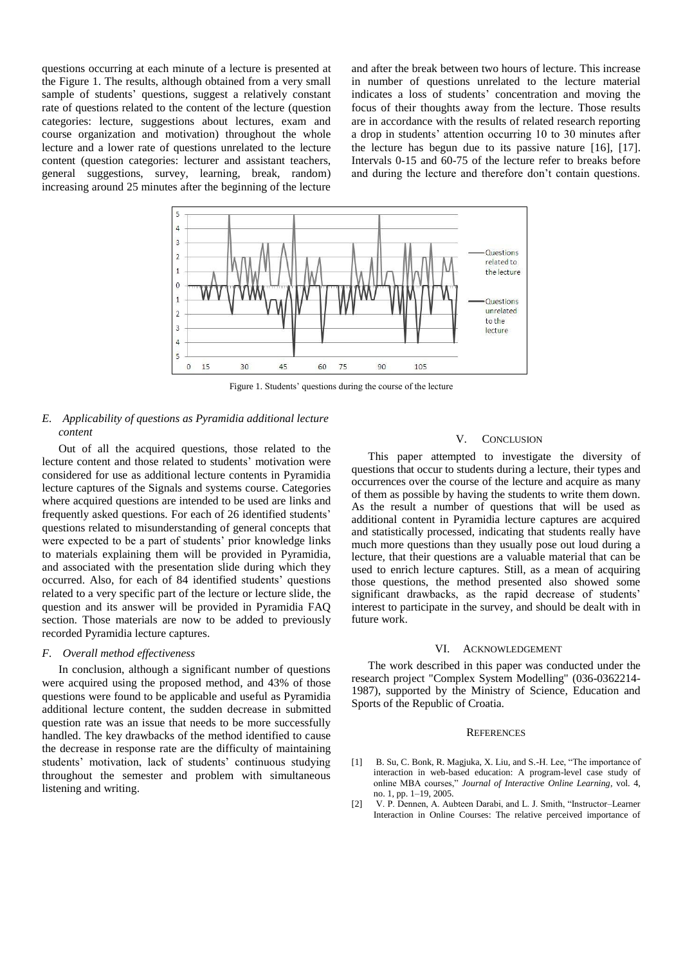questions occurring at each minute of a lecture is presented at the Figure 1. The results, although obtained from a very small sample of students' questions, suggest a relatively constant rate of questions related to the content of the lecture (question categories: lecture, suggestions about lectures, exam and course organization and motivation) throughout the whole lecture and a lower rate of questions unrelated to the lecture content (question categories: lecturer and assistant teachers, general suggestions, survey, learning, break, random) increasing around 25 minutes after the beginning of the lecture

and after the break between two hours of lecture. This increase in number of questions unrelated to the lecture material indicates a loss of students' concentration and moving the focus of their thoughts away from the lecture. Those results are in accordance with the results of related research reporting a drop in students' attention occurring 10 to 30 minutes after the lecture has begun due to its passive nature [16], [17]. Intervals 0-15 and 60-75 of the lecture refer to breaks before and during the lecture and therefore don't contain questions.



Figure 1. Students' questions during the course of the lecture

# *E. Applicability of questions as Pyramidia additional lecture content*

Out of all the acquired questions, those related to the lecture content and those related to students' motivation were considered for use as additional lecture contents in Pyramidia lecture captures of the Signals and systems course. Categories where acquired questions are intended to be used are links and frequently asked questions. For each of 26 identified students' questions related to misunderstanding of general concepts that were expected to be a part of students' prior knowledge links to materials explaining them will be provided in Pyramidia, and associated with the presentation slide during which they occurred. Also, for each of 84 identified students' questions related to a very specific part of the lecture or lecture slide, the question and its answer will be provided in Pyramidia FAQ section. Those materials are now to be added to previously recorded Pyramidia lecture captures.

### *F. Overall method effectiveness*

In conclusion, although a significant number of questions were acquired using the proposed method, and 43% of those questions were found to be applicable and useful as Pyramidia additional lecture content, the sudden decrease in submitted question rate was an issue that needs to be more successfully handled. The key drawbacks of the method identified to cause the decrease in response rate are the difficulty of maintaining students' motivation, lack of students' continuous studying throughout the semester and problem with simultaneous listening and writing.

#### V. CONCLUSION

This paper attempted to investigate the diversity of questions that occur to students during a lecture, their types and occurrences over the course of the lecture and acquire as many of them as possible by having the students to write them down. As the result a number of questions that will be used as additional content in Pyramidia lecture captures are acquired and statistically processed, indicating that students really have much more questions than they usually pose out loud during a lecture, that their questions are a valuable material that can be used to enrich lecture captures. Still, as a mean of acquiring those questions, the method presented also showed some significant drawbacks, as the rapid decrease of students' interest to participate in the survey, and should be dealt with in future work.

## VI. ACKNOWLEDGEMENT

The work described in this paper was conducted under the research project "Complex System Modelling" (036-0362214- 1987), supported by the Ministry of Science, Education and Sports of the Republic of Croatia.

#### **REFERENCES**

- B. Su, C. Bonk, R. Magjuka, X. Liu, and S.-H. Lee, "The importance of interaction in web-based education: A program-level case study of online MBA courses," *Journal of Interactive Online Learning*, vol. 4, no. 1, pp. 1–19, 2005.
- [2] V. P. Dennen, A. Aubteen Darabi, and L. J. Smith, "Instructor–Learner Interaction in Online Courses: The relative perceived importance of